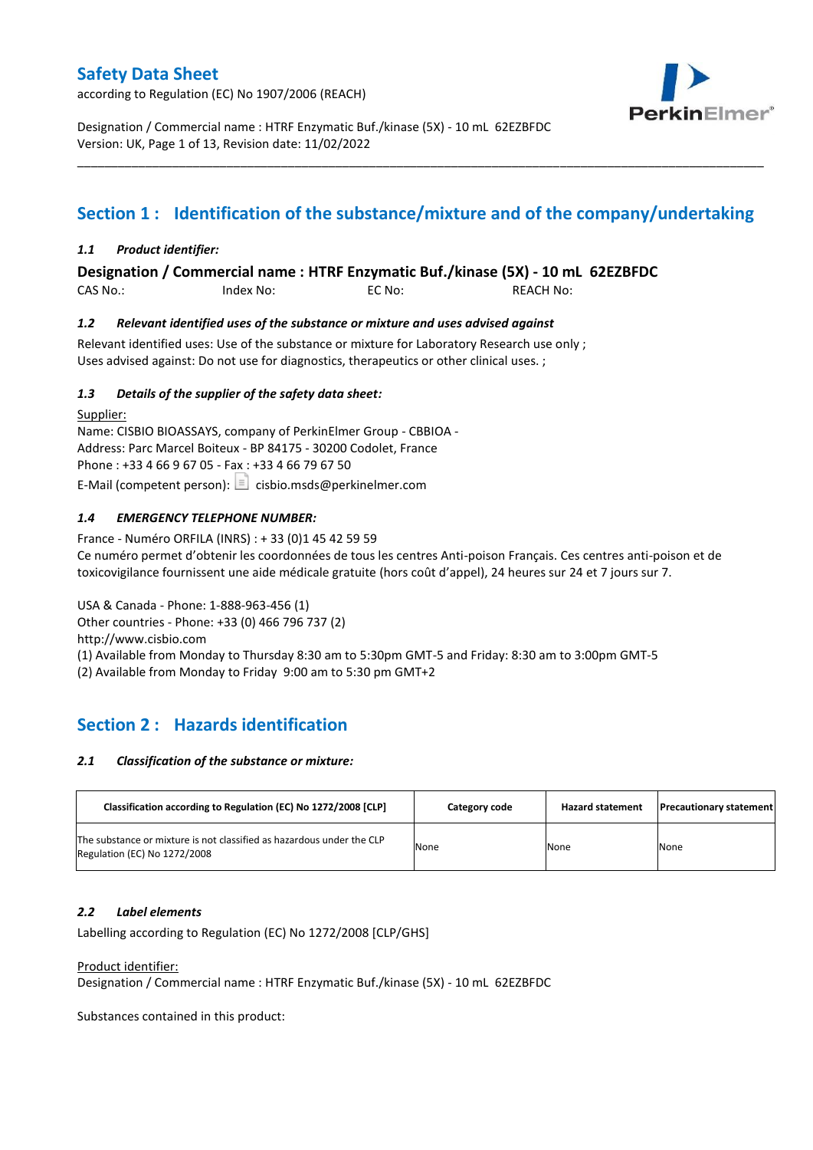according to Regulation (EC) No 1907/2006 (REACH)



Designation / Commercial name : HTRF Enzymatic Buf./kinase (5X) - 10 mL 62EZBFDC Version: UK, Page 1 of 13, Revision date: 11/02/2022

# **Section 1 : Identification of the substance/mixture and of the company/undertaking**

\_\_\_\_\_\_\_\_\_\_\_\_\_\_\_\_\_\_\_\_\_\_\_\_\_\_\_\_\_\_\_\_\_\_\_\_\_\_\_\_\_\_\_\_\_\_\_\_\_\_\_\_\_\_\_\_\_\_\_\_\_\_\_\_\_\_\_\_\_\_\_\_\_\_\_\_\_\_\_\_\_\_\_\_\_\_\_\_\_\_\_\_\_\_\_\_\_\_\_\_\_

### *1.1 Product identifier:*

**Designation / Commercial name : HTRF Enzymatic Buf./kinase (5X) - 10 mL 62EZBFDC** 

CAS No.: Index No: EC No: REACH No:

### *1.2 Relevant identified uses of the substance or mixture and uses advised against*

Relevant identified uses: Use of the substance or mixture for Laboratory Research use only ; Uses advised against: Do not use for diagnostics, therapeutics or other clinical uses. ;

### *1.3 Details of the supplier of the safety data sheet:*

Supplier: Name: CISBIO BIOASSAYS, company of PerkinElmer Group - CBBIOA - Address: Parc Marcel Boiteux - BP 84175 - 30200 Codolet, France Phone : +33 4 66 9 67 05 - Fax : +33 4 66 79 67 50 E-Mail (competent person):  $\Box$  cisbio.msds@perkinelmer.com

### *1.4 EMERGENCY TELEPHONE NUMBER:*

France - Numéro ORFILA (INRS) : + 33 (0)1 45 42 59 59 Ce numéro permet d'obtenir les coordonnées de tous les centres Anti-poison Français. Ces centres anti-poison et de toxicovigilance fournissent une aide médicale gratuite (hors coût d'appel), 24 heures sur 24 et 7 jours sur 7.

USA & Canada - Phone: 1-888-963-456 (1) Other countries - Phone: +33 (0) 466 796 737 (2)

http://www.cisbio.com

(1) Available from Monday to Thursday 8:30 am to 5:30pm GMT-5 and Friday: 8:30 am to 3:00pm GMT-5

(2) Available from Monday to Friday 9:00 am to 5:30 pm GMT+2

## **Section 2 : Hazards identification**

#### *2.1 Classification of the substance or mixture:*

| Classification according to Regulation (EC) No 1272/2008 [CLP]                                        | Category code | <b>Hazard statement</b> | <b>Precautionary statement</b> |
|-------------------------------------------------------------------------------------------------------|---------------|-------------------------|--------------------------------|
| The substance or mixture is not classified as hazardous under the CLP<br>Regulation (EC) No 1272/2008 | None          | None                    | None                           |

#### *2.2 Label elements*

Labelling according to Regulation (EC) No 1272/2008 [CLP/GHS]

#### Product identifier:

Designation / Commercial name : HTRF Enzymatic Buf./kinase (5X) - 10 mL 62EZBFDC

Substances contained in this product: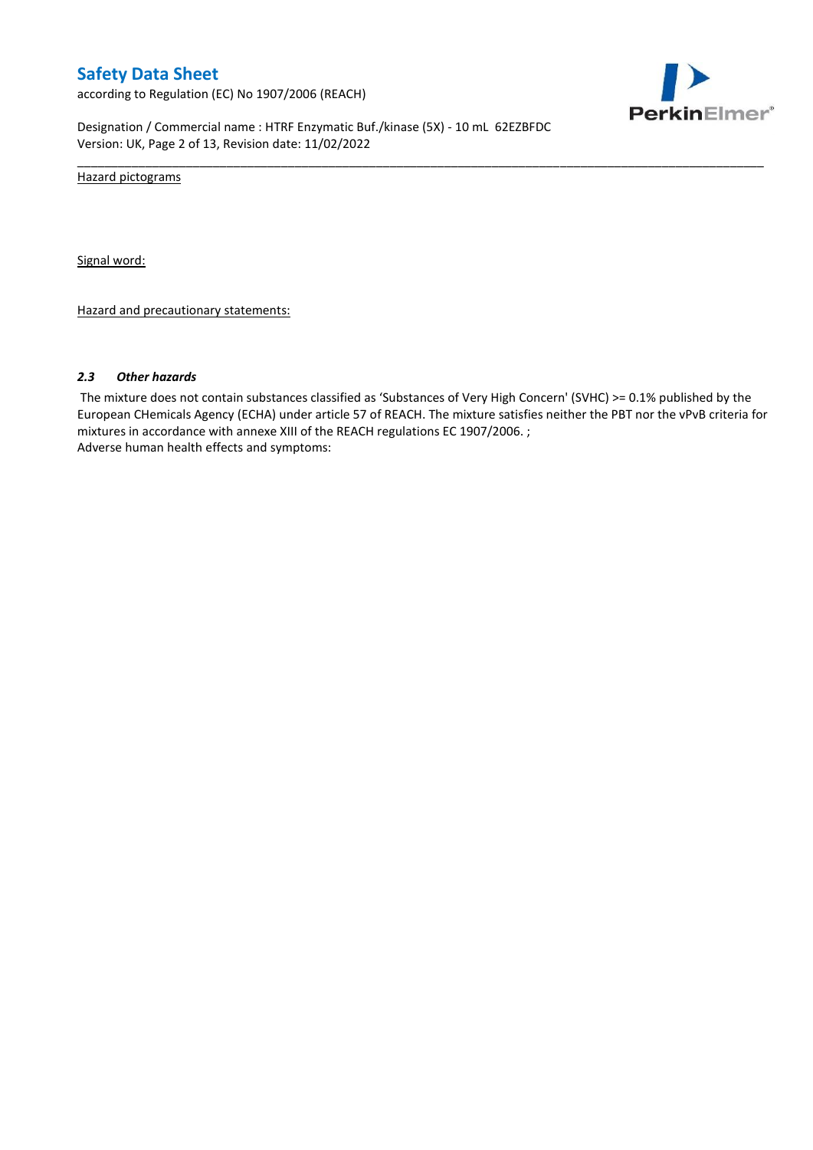according to Regulation (EC) No 1907/2006 (REACH)



Designation / Commercial name : HTRF Enzymatic Buf./kinase (5X) - 10 mL 62EZBFDC Version: UK, Page 2 of 13, Revision date: 11/02/2022

Hazard pictograms

Signal word:

Hazard and precautionary statements:

#### *2.3 Other hazards*

The mixture does not contain substances classified as 'Substances of Very High Concern' (SVHC) >= 0.1% published by the European CHemicals Agency (ECHA) under article 57 of REACH. The mixture satisfies neither the PBT nor the vPvB criteria for mixtures in accordance with annexe XIII of the REACH regulations EC 1907/2006. ; Adverse human health effects and symptoms:

\_\_\_\_\_\_\_\_\_\_\_\_\_\_\_\_\_\_\_\_\_\_\_\_\_\_\_\_\_\_\_\_\_\_\_\_\_\_\_\_\_\_\_\_\_\_\_\_\_\_\_\_\_\_\_\_\_\_\_\_\_\_\_\_\_\_\_\_\_\_\_\_\_\_\_\_\_\_\_\_\_\_\_\_\_\_\_\_\_\_\_\_\_\_\_\_\_\_\_\_\_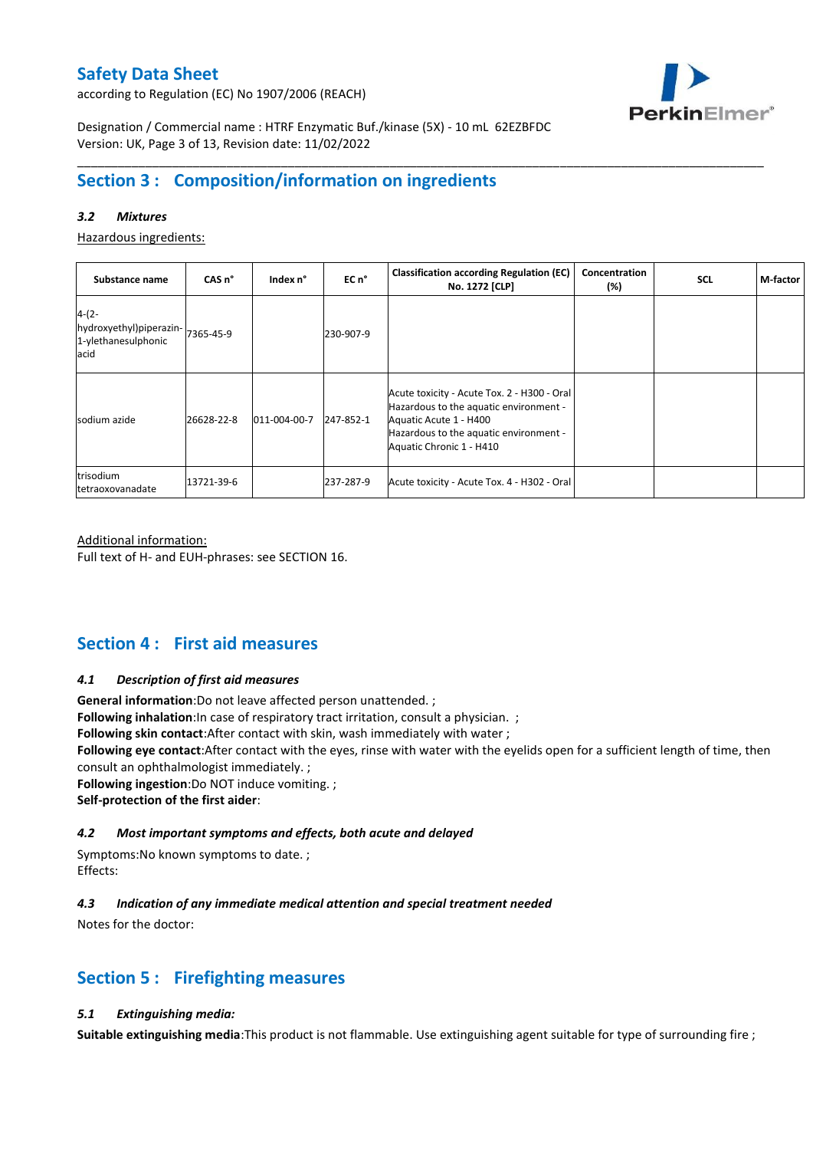according to Regulation (EC) No 1907/2006 (REACH)



Designation / Commercial name : HTRF Enzymatic Buf./kinase (5X) - 10 mL 62EZBFDC Version: UK, Page 3 of 13, Revision date: 11/02/2022

## **Section 3 : Composition/information on ingredients**

### *3.2 Mixtures*

Hazardous ingredients:

| Substance name                                                    | CAS <sub>n</sub> ° | Index n°     | EC n°     | <b>Classification according Regulation (EC)</b><br>No. 1272 [CLP]                                                                                                                     | Concentration<br>(%) | <b>SCL</b> | M-factor |
|-------------------------------------------------------------------|--------------------|--------------|-----------|---------------------------------------------------------------------------------------------------------------------------------------------------------------------------------------|----------------------|------------|----------|
| $4-(2-$<br>hydroxyethyl)piperazin-<br>1-ylethanesulphonic<br>acid | 7365-45-9          |              | 230-907-9 |                                                                                                                                                                                       |                      |            |          |
| sodium azide                                                      | 26628-22-8         | 011-004-00-7 | 247-852-1 | Acute toxicity - Acute Tox. 2 - H300 - Oral<br>Hazardous to the aquatic environment -<br>Aquatic Acute 1 - H400<br>Hazardous to the aquatic environment -<br>Aquatic Chronic 1 - H410 |                      |            |          |
| trisodium<br>tetraoxovanadate                                     | 13721-39-6         |              | 237-287-9 | Acute toxicity - Acute Tox. 4 - H302 - Oral                                                                                                                                           |                      |            |          |

\_\_\_\_\_\_\_\_\_\_\_\_\_\_\_\_\_\_\_\_\_\_\_\_\_\_\_\_\_\_\_\_\_\_\_\_\_\_\_\_\_\_\_\_\_\_\_\_\_\_\_\_\_\_\_\_\_\_\_\_\_\_\_\_\_\_\_\_\_\_\_\_\_\_\_\_\_\_\_\_\_\_\_\_\_\_\_\_\_\_\_\_\_\_\_\_\_\_\_\_\_

#### Additional information:

Full text of H- and EUH-phrases: see SECTION 16.

## **Section 4 : First aid measures**

#### *4.1 Description of first aid measures*

**General information**:Do not leave affected person unattended. ;

**Following inhalation**:In case of respiratory tract irritation, consult a physician. ;

**Following skin contact**:After contact with skin, wash immediately with water ;

**Following eye contact**:After contact with the eyes, rinse with water with the eyelids open for a sufficient length of time, then consult an ophthalmologist immediately. ;

**Following ingestion**:Do NOT induce vomiting. ;

**Self-protection of the first aider**:

#### *4.2 Most important symptoms and effects, both acute and delayed*

Symptoms:No known symptoms to date. ; Effects:

#### *4.3 Indication of any immediate medical attention and special treatment needed*

Notes for the doctor:

## **Section 5 : Firefighting measures**

### *5.1 Extinguishing media:*

**Suitable extinguishing media**:This product is not flammable. Use extinguishing agent suitable for type of surrounding fire ;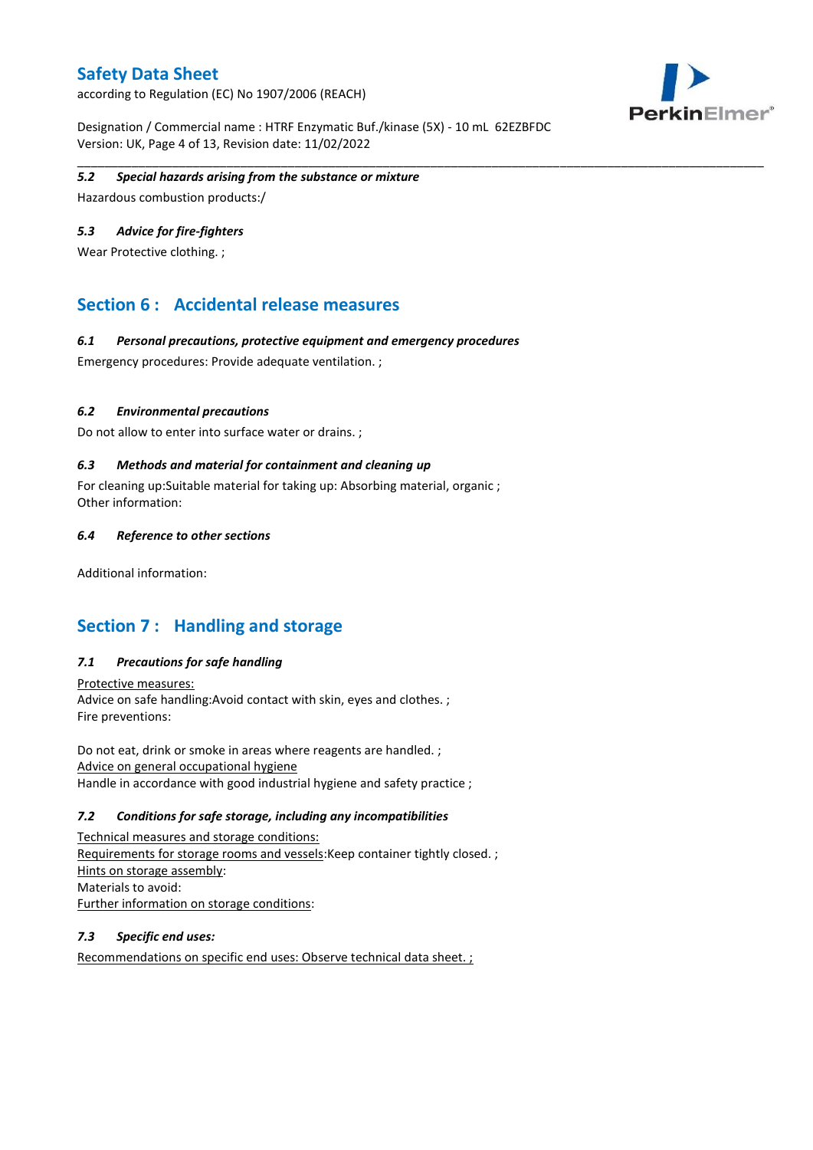according to Regulation (EC) No 1907/2006 (REACH)



Designation / Commercial name : HTRF Enzymatic Buf./kinase (5X) - 10 mL 62EZBFDC Version: UK, Page 4 of 13, Revision date: 11/02/2022

#### \_\_\_\_\_\_\_\_\_\_\_\_\_\_\_\_\_\_\_\_\_\_\_\_\_\_\_\_\_\_\_\_\_\_\_\_\_\_\_\_\_\_\_\_\_\_\_\_\_\_\_\_\_\_\_\_\_\_\_\_\_\_\_\_\_\_\_\_\_\_\_\_\_\_\_\_\_\_\_\_\_\_\_\_\_\_\_\_\_\_\_\_\_\_\_\_\_\_\_\_\_ *5.2 Special hazards arising from the substance or mixture*

Hazardous combustion products:/

### *5.3 Advice for fire-fighters*

Wear Protective clothing. ;

## **Section 6 : Accidental release measures**

### *6.1 Personal precautions, protective equipment and emergency procedures*

Emergency procedures: Provide adequate ventilation. ;

### *6.2 Environmental precautions*

Do not allow to enter into surface water or drains. ;

### *6.3 Methods and material for containment and cleaning up*

For cleaning up:Suitable material for taking up: Absorbing material, organic ; Other information:

#### *6.4 Reference to other sections*

Additional information:

## **Section 7 : Handling and storage**

### *7.1 Precautions for safe handling*

Protective measures: Advice on safe handling:Avoid contact with skin, eyes and clothes. ; Fire preventions:

Do not eat, drink or smoke in areas where reagents are handled. ; Advice on general occupational hygiene Handle in accordance with good industrial hygiene and safety practice ;

#### *7.2 Conditions for safe storage, including any incompatibilities*

Technical measures and storage conditions: Requirements for storage rooms and vessels:Keep container tightly closed. ; Hints on storage assembly: Materials to avoid: Further information on storage conditions:

### *7.3 Specific end uses:*

Recommendations on specific end uses: Observe technical data sheet. ;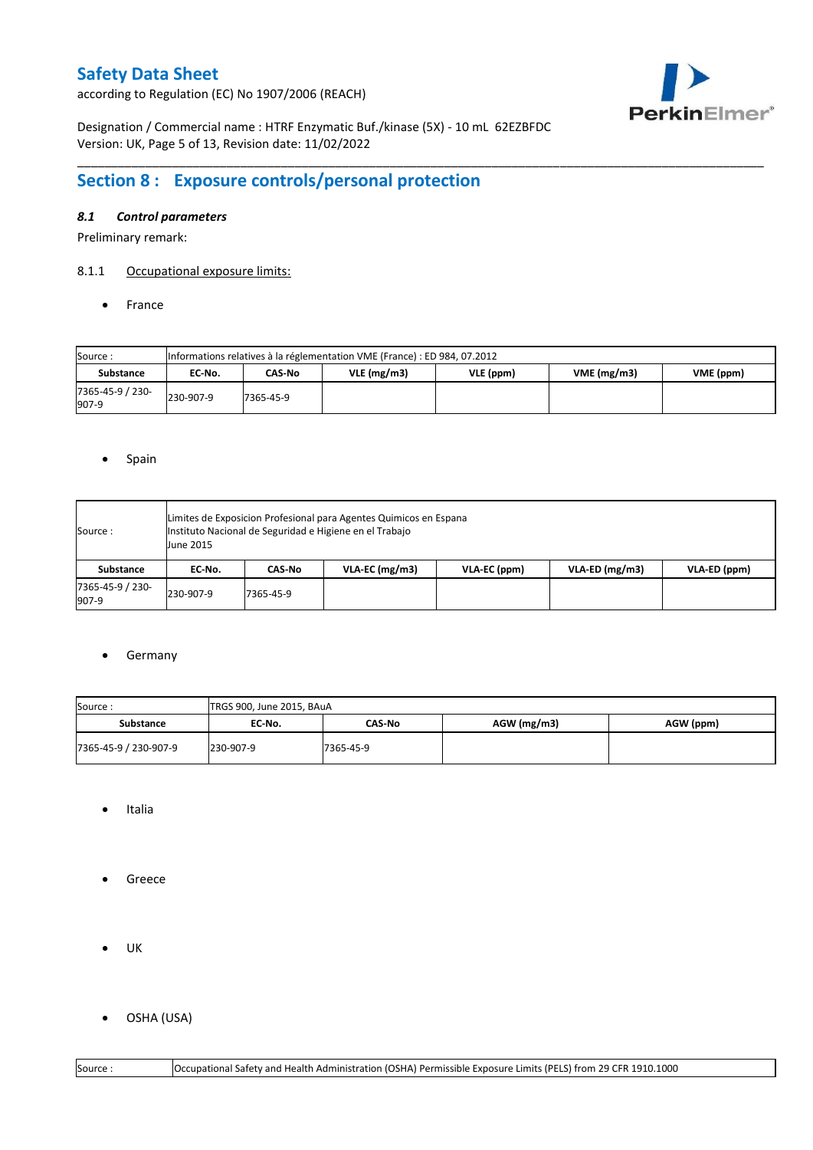according to Regulation (EC) No 1907/2006 (REACH)



Designation / Commercial name : HTRF Enzymatic Buf./kinase (5X) - 10 mL 62EZBFDC Version: UK, Page 5 of 13, Revision date: 11/02/2022

# **Section 8 : Exposure controls/personal protection**

### *8.1 Control parameters*

Preliminary remark:

## 8.1.1 Occupational exposure limits:

• France

| Source:                   |           | Informations relatives à la réglementation VME (France) : ED 984, 07.2012 |               |           |            |           |  |  |  |  |  |  |  |
|---------------------------|-----------|---------------------------------------------------------------------------|---------------|-----------|------------|-----------|--|--|--|--|--|--|--|
| <b>Substance</b>          | EC No.    | CAS-No                                                                    | $VLE$ (mg/m3) | VLE (ppm) | VME(mg/m3) | VME (ppm) |  |  |  |  |  |  |  |
| 7365-45-9 / 230-<br>907-9 | 230-907-9 | 7365-45-9                                                                 |               |           |            |           |  |  |  |  |  |  |  |

\_\_\_\_\_\_\_\_\_\_\_\_\_\_\_\_\_\_\_\_\_\_\_\_\_\_\_\_\_\_\_\_\_\_\_\_\_\_\_\_\_\_\_\_\_\_\_\_\_\_\_\_\_\_\_\_\_\_\_\_\_\_\_\_\_\_\_\_\_\_\_\_\_\_\_\_\_\_\_\_\_\_\_\_\_\_\_\_\_\_\_\_\_\_\_\_\_\_\_\_\_

#### • Spain

| Source :                  | <b>June 2015</b> |           | Limites de Exposicion Profesional para Agentes Quimicos en Espana<br>Instituto Nacional de Seguridad e Higiene en el Trabajo |              |                  |              |
|---------------------------|------------------|-----------|------------------------------------------------------------------------------------------------------------------------------|--------------|------------------|--------------|
| Substance                 | EC-No.           | CAS-No    | $VLA-EC$ (mg/m3)                                                                                                             | VLA-EC (ppm) | $VLA-ED$ (mg/m3) | VLA-ED (ppm) |
| 7365-45-9 / 230-<br>907-9 | 230-907-9        | 7365-45-9 |                                                                                                                              |              |                  |              |

#### **•** Germany

| Source:<br>TRGS 900, June 2015, BAuA |           |           |               |           |  |  |  |  |
|--------------------------------------|-----------|-----------|---------------|-----------|--|--|--|--|
| EC No.<br>Substance                  |           | CAS-No    | $AGW$ (mg/m3) | AGW (ppm) |  |  |  |  |
| 7365-45-9 / 230-907-9                | 230-907-9 | 7365-45-9 |               |           |  |  |  |  |

- Italia
- **•** Greece
- $\bullet$  UK
- OSHA (USA)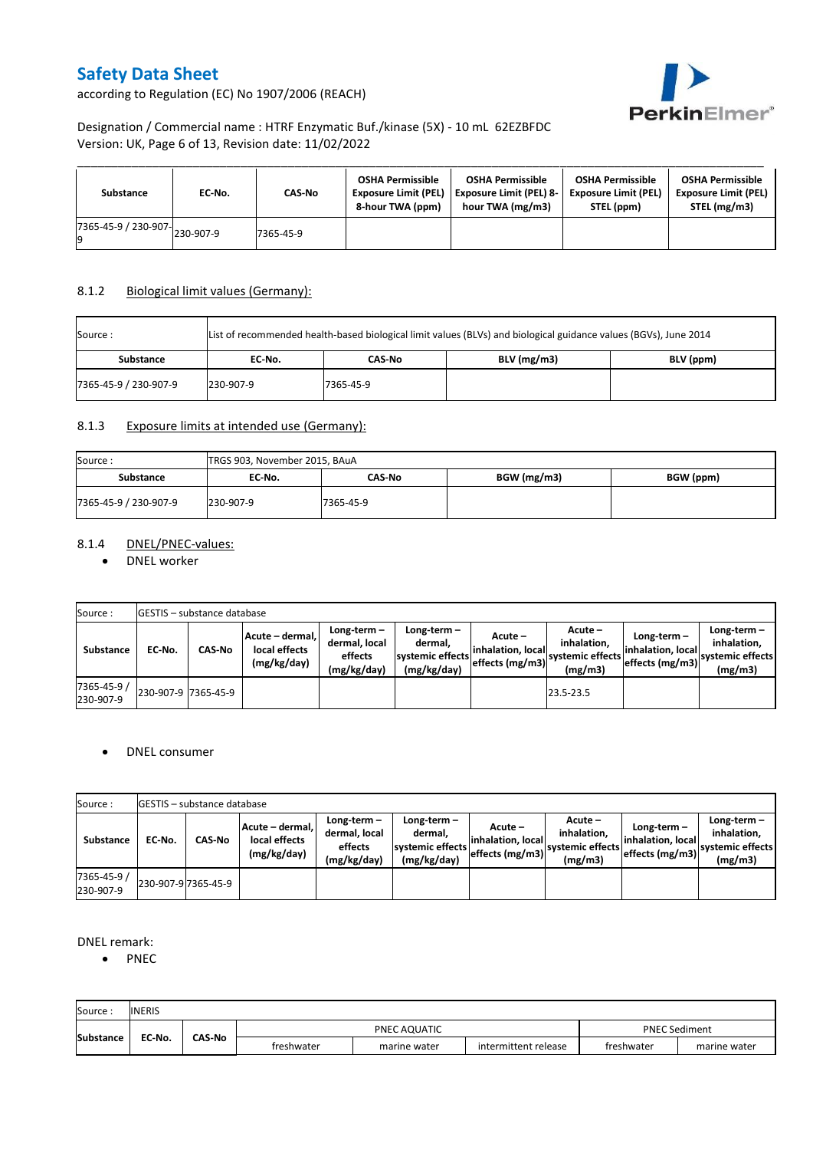

according to Regulation (EC) No 1907/2006 (REACH)

## Designation / Commercial name : HTRF Enzymatic Buf./kinase (5X) - 10 mL 62EZBFDC Version: UK, Page 6 of 13, Revision date: 11/02/2022

| Substance                                              | EC No. | CAS-No    | <b>OSHA Permissible</b><br><b>Exposure Limit (PEL)</b><br>8-hour TWA (ppm) | <b>OSHA Permissible</b><br><b>Exposure Limit (PEL) 8-</b><br>hour TWA (mg/m3) | <b>OSHA Permissible</b><br><b>Exposure Limit (PEL)</b><br>STEL (ppm) | <b>OSHA Permissible</b><br><b>Exposure Limit (PEL)</b><br>STEL (mg/m3) |
|--------------------------------------------------------|--------|-----------|----------------------------------------------------------------------------|-------------------------------------------------------------------------------|----------------------------------------------------------------------|------------------------------------------------------------------------|
| $\overline{17365}$ -45-9 / 230-907- $\big  230$ -907-9 |        | 7365-45-9 |                                                                            |                                                                               |                                                                      |                                                                        |

### 8.1.2 Biological limit values (Germany):

| Source :              |           | List of recommended health-based biological limit values (BLVs) and biological guidance values (BGVs), June 2014 |               |           |  |  |  |  |  |  |  |  |
|-----------------------|-----------|------------------------------------------------------------------------------------------------------------------|---------------|-----------|--|--|--|--|--|--|--|--|
| EC No.<br>Substance   |           | CAS-No                                                                                                           | $BLV$ (mg/m3) | BLV (ppm) |  |  |  |  |  |  |  |  |
| 7365-45-9 / 230-907-9 | 230-907-9 | 7365-45-9                                                                                                        |               |           |  |  |  |  |  |  |  |  |

### 8.1.3 Exposure limits at intended use (Germany):

| Source:                    | TRGS 903, November 2015, BAuA |           |             |  |
|----------------------------|-------------------------------|-----------|-------------|--|
| <b>Substance</b><br>EC-No. |                               | CAS-No    | BGW (mg/m3) |  |
| 7365-45-9 / 230-907-9      | 230-907-9                     | 7365-45-9 |             |  |

## 8.1.4 DNEL/PNEC-values:

• DNEL worker

| Source:                  |                     | GESTIS - substance database |                                                 |                                                       |                                                           |  |                                                                                                                                                            |  |                                                             |
|--------------------------|---------------------|-----------------------------|-------------------------------------------------|-------------------------------------------------------|-----------------------------------------------------------|--|------------------------------------------------------------------------------------------------------------------------------------------------------------|--|-------------------------------------------------------------|
| Substance                | EC-No.              | <b>CAS-No</b>               | Acute - dermal,<br>local effects<br>(mg/kg/day) | Long-term-<br>dermal, local<br>effects<br>(mg/kg/day) | Long-term –<br>dermal.<br>systemic effects<br>(mg/kg/day) |  | $Acute -$<br>Long-term $-$<br>inhalation.<br>inhalation, local<br>linhalation. locall<br>systemic effects<br>effects (mg/m3)<br>effects (mg/m3)<br>(mg/m3) |  | $Long-term -$<br>inhalation.<br>systemic effects<br>(mg/m3) |
| 7365-45-9 /<br>230-907-9 | 230-907-9 7365-45-9 |                             |                                                 |                                                       |                                                           |  | 23.5-23.5                                                                                                                                                  |  |                                                             |

#### • DNEL consumer

| Source:                  |        | <b>GESTIS</b> – substance database |                                                   |                                                          |                                                          |                                                  |                                                       |                                                     |                                                          |
|--------------------------|--------|------------------------------------|---------------------------------------------------|----------------------------------------------------------|----------------------------------------------------------|--------------------------------------------------|-------------------------------------------------------|-----------------------------------------------------|----------------------------------------------------------|
| <b>Substance</b>         | EC No. | CAS No                             | Acute – dermal. I<br>local effects<br>(mg/kg/day) | Long-term $-$<br>dermal, local<br>effects<br>(mg/kg/day) | Long-term-<br>dermal.<br>systemic effects<br>(mg/kg/day) | Acute –<br>linhalation. local<br>effects (mg/m3) | Acute -<br>inhalation.<br>systemic effects<br>(mg/m3) | Long-term-<br>linhalation. local<br>effects (mg/m3) | Long-term-<br>inhalation.<br>systemic effects<br>(mg/m3) |
| 7365-45-9 /<br>230-907-9 |        | 230-907-9 7365-45-9                |                                                   |                                                          |                                                          |                                                  |                                                       |                                                     |                                                          |

### DNEL remark:

• PNEC

| Source           | <b>INERIS</b> |               |            |              |                      |            |              |
|------------------|---------------|---------------|------------|--------------|----------------------|------------|--------------|
| <b>Substance</b> | EC-No.        | <b>CAS-No</b> |            | PNEC AQUATIC | <b>PNEC Sediment</b> |            |              |
|                  |               |               | freshwater | marine water | intermittent release | freshwater | marine water |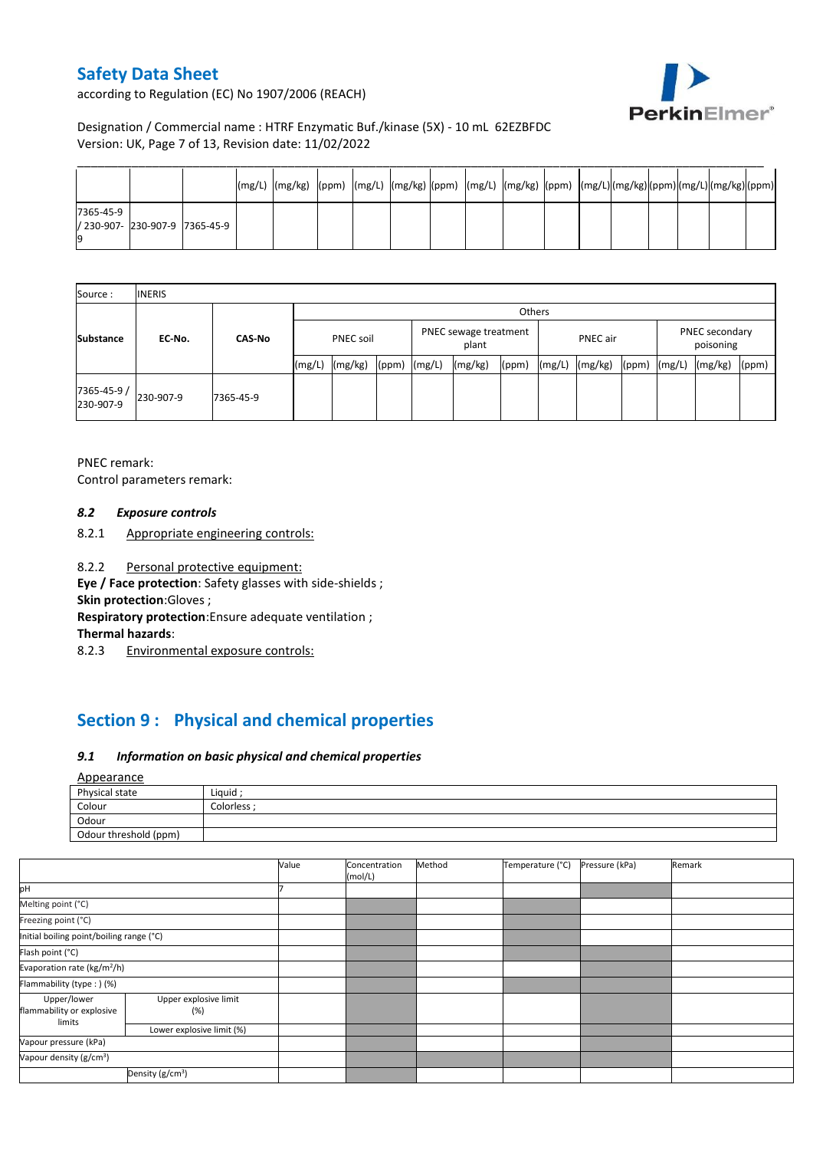according to Regulation (EC) No 1907/2006 (REACH)



## Designation / Commercial name : HTRF Enzymatic Buf./kinase (5X) - 10 mL 62EZBFDC Version: UK, Page 7 of 13, Revision date: 11/02/2022

|                                             |  | [(mg/L) [(mg/kg) [(ppm) [(mg/L) [(mg/kg) [(ppm) [(mg/L) [(mg/kg) [(ppm) [(mg/L)[(mg/kg)[(ppm)[(mg/L)[(mg/kg)[(ppm) |  |  |  |  |  |  |  |
|---------------------------------------------|--|--------------------------------------------------------------------------------------------------------------------|--|--|--|--|--|--|--|
| 7365-45-9<br>/ 230-907- 230-907-9 7365-45-9 |  |                                                                                                                    |  |  |  |  |  |  |  |

| Source:                  | <b>INERIS</b> |               |                  |         |                                |        |          |       |                             |         |       |        |         |       |
|--------------------------|---------------|---------------|------------------|---------|--------------------------------|--------|----------|-------|-----------------------------|---------|-------|--------|---------|-------|
|                          | EC-No.        | <b>CAS-No</b> | Others           |         |                                |        |          |       |                             |         |       |        |         |       |
| <b>Substance</b>         |               |               | <b>PNEC soil</b> |         | PNEC sewage treatment<br>plant |        | PNEC air |       | PNEC secondary<br>poisoning |         |       |        |         |       |
|                          |               |               | (mg/L)           | (mg/kg) | (ppm)                          | (mg/L) | (mg/kg)  | (ppm) | (mg/L)                      | (mg/kg) | (ppm) | (mg/L) | (mg/kg) | (ppm) |
| 7365-45-9 /<br>230-907-9 | 230-907-9     | 7365-45-9     |                  |         |                                |        |          |       |                             |         |       |        |         |       |

PNEC remark: Control parameters remark:

#### *8.2 Exposure controls*

- 8.2.1 Appropriate engineering controls:
- 8.2.2 Personal protective equipment:

**Eye / Face protection**: Safety glasses with side-shields ;

**Skin protection**:Gloves ;

**Respiratory protection**:Ensure adequate ventilation ;

**Thermal hazards**:

8.2.3 Environmental exposure controls:

# **Section 9 : Physical and chemical properties**

### *9.1 Information on basic physical and chemical properties*

#### Appearance

| $-$                   |           |
|-----------------------|-----------|
| Physical state        | Liguid    |
| Colour                | Colorless |
| Odour                 |           |
| Odour threshold (ppm) |           |

|                                                    |                              | Value | Concentration<br>(mol/L) | Method | Temperature (°C) | Pressure (kPa) | Remark |
|----------------------------------------------------|------------------------------|-------|--------------------------|--------|------------------|----------------|--------|
| pH                                                 |                              |       |                          |        |                  |                |        |
| Melting point (°C)                                 |                              |       |                          |        |                  |                |        |
| Freezing point (°C)                                |                              |       |                          |        |                  |                |        |
| Initial boiling point/boiling range (°C)           |                              |       |                          |        |                  |                |        |
| Flash point (°C)                                   |                              |       |                          |        |                  |                |        |
| Evaporation rate (kg/m <sup>2</sup> /h)            |                              |       |                          |        |                  |                |        |
| Flammability (type : ) (%)                         |                              |       |                          |        |                  |                |        |
| Upper/lower<br>flammability or explosive<br>limits | Upper explosive limit<br>(%) |       |                          |        |                  |                |        |
|                                                    | Lower explosive limit (%)    |       |                          |        |                  |                |        |
| Vapour pressure (kPa)                              |                              |       |                          |        |                  |                |        |
| Vapour density (g/cm <sup>3</sup> )                |                              |       |                          |        |                  |                |        |
| Density (g/cm <sup>3</sup> )                       |                              |       |                          |        |                  |                |        |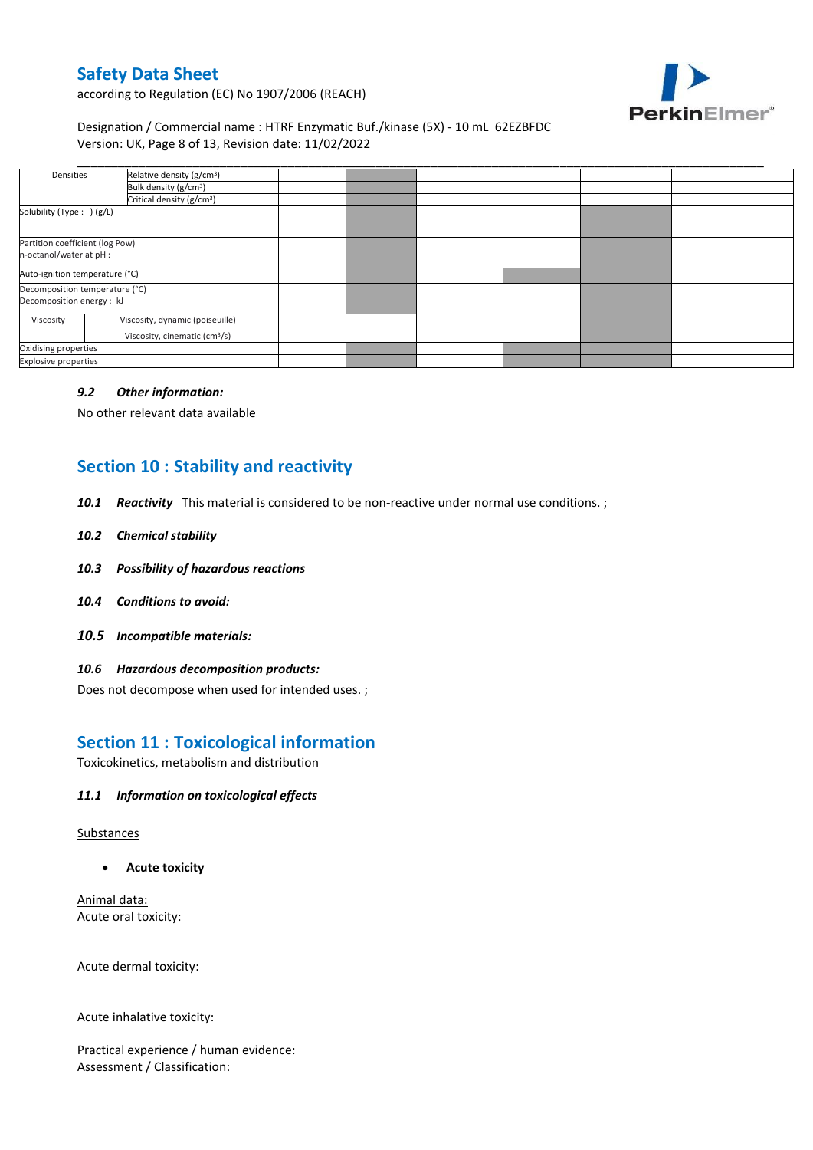

according to Regulation (EC) No 1907/2006 (REACH)

Designation / Commercial name : HTRF Enzymatic Buf./kinase (5X) - 10 mL 62EZBFDC Version: UK, Page 8 of 13, Revision date: 11/02/2022

| Densities                       | Relative density (g/cm <sup>3</sup> )     |  |  |  |  |
|---------------------------------|-------------------------------------------|--|--|--|--|
|                                 | Bulk density (g/cm <sup>3</sup> )         |  |  |  |  |
|                                 | Critical density (g/cm <sup>3</sup> )     |  |  |  |  |
| Solubility (Type: ) (g/L)       |                                           |  |  |  |  |
| Partition coefficient (log Pow) |                                           |  |  |  |  |
| n-octanol/water at pH :         |                                           |  |  |  |  |
|                                 | Auto-ignition temperature (°C)            |  |  |  |  |
| Decomposition temperature (°C)  |                                           |  |  |  |  |
| Decomposition energy : kJ       |                                           |  |  |  |  |
| Viscosity                       | Viscosity, dynamic (poiseuille)           |  |  |  |  |
|                                 | Viscosity, cinematic (cm <sup>3</sup> /s) |  |  |  |  |
| Oxidising properties            |                                           |  |  |  |  |
| <b>Explosive properties</b>     |                                           |  |  |  |  |

#### *9.2 Other information:*

No other relevant data available

## **Section 10 : Stability and reactivity**

- *10.1 Reactivity* This material is considered to be non-reactive under normal use conditions. ;
- *10.2 Chemical stability*
- *10.3 Possibility of hazardous reactions*
- *10.4 Conditions to avoid:*
- *10.5 Incompatible materials:*

#### *10.6 Hazardous decomposition products:*

Does not decompose when used for intended uses. ;

## **Section 11 : Toxicological information**

Toxicokinetics, metabolism and distribution

#### *11.1 Information on toxicological effects*

#### Substances

**Acute toxicity**

Animal data: Acute oral toxicity:

Acute dermal toxicity:

Acute inhalative toxicity:

Practical experience / human evidence: Assessment / Classification: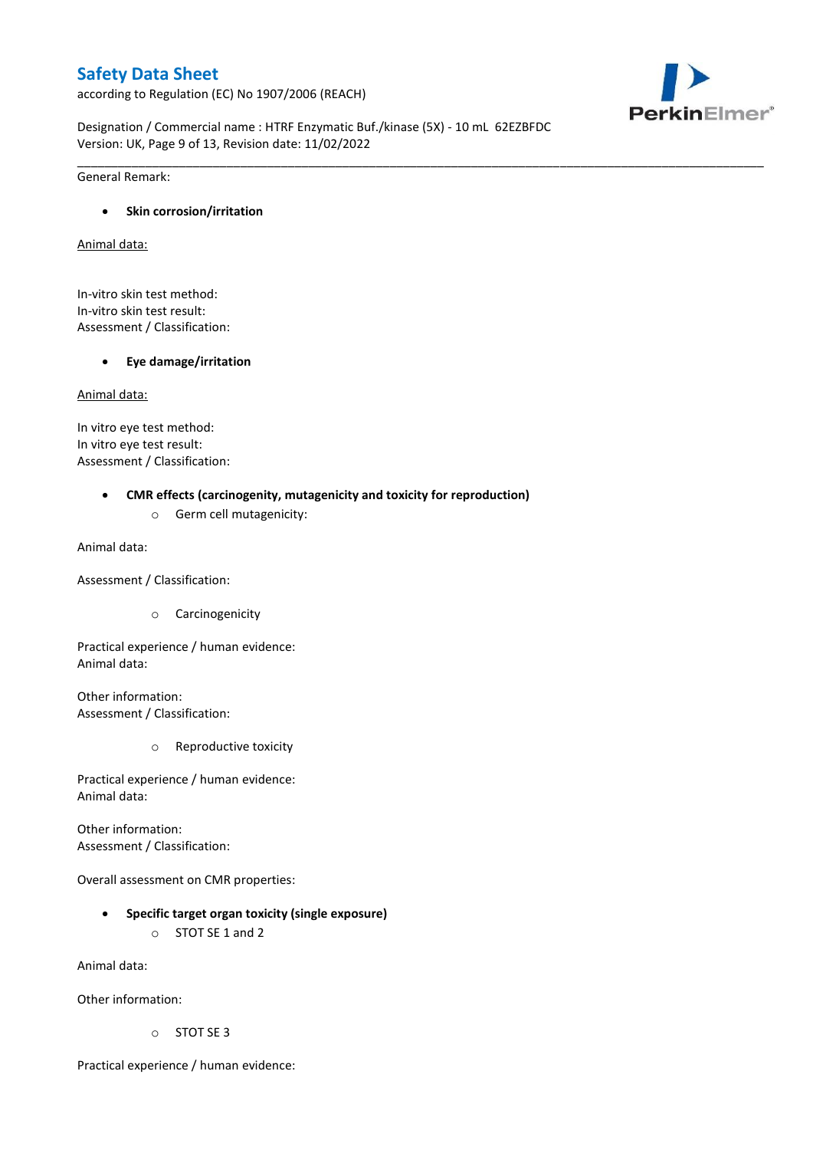according to Regulation (EC) No 1907/2006 (REACH)



Designation / Commercial name : HTRF Enzymatic Buf./kinase (5X) - 10 mL 62EZBFDC Version: UK, Page 9 of 13, Revision date: 11/02/2022

\_\_\_\_\_\_\_\_\_\_\_\_\_\_\_\_\_\_\_\_\_\_\_\_\_\_\_\_\_\_\_\_\_\_\_\_\_\_\_\_\_\_\_\_\_\_\_\_\_\_\_\_\_\_\_\_\_\_\_\_\_\_\_\_\_\_\_\_\_\_\_\_\_\_\_\_\_\_\_\_\_\_\_\_\_\_\_\_\_\_\_\_\_\_\_\_\_\_\_\_\_

General Remark:

### **Skin corrosion/irritation**

Animal data:

In-vitro skin test method: In-vitro skin test result: Assessment / Classification:

### **Eye damage/irritation**

Animal data:

In vitro eye test method: In vitro eye test result: Assessment / Classification:

### **CMR effects (carcinogenity, mutagenicity and toxicity for reproduction)**

o Germ cell mutagenicity:

Animal data:

Assessment / Classification:

o Carcinogenicity

Practical experience / human evidence: Animal data:

Other information: Assessment / Classification:

o Reproductive toxicity

Practical experience / human evidence: Animal data:

Other information: Assessment / Classification:

Overall assessment on CMR properties:

- **Specific target organ toxicity (single exposure)**
	- o STOT SE 1 and 2

Animal data:

Other information:

o STOT SE 3

Practical experience / human evidence: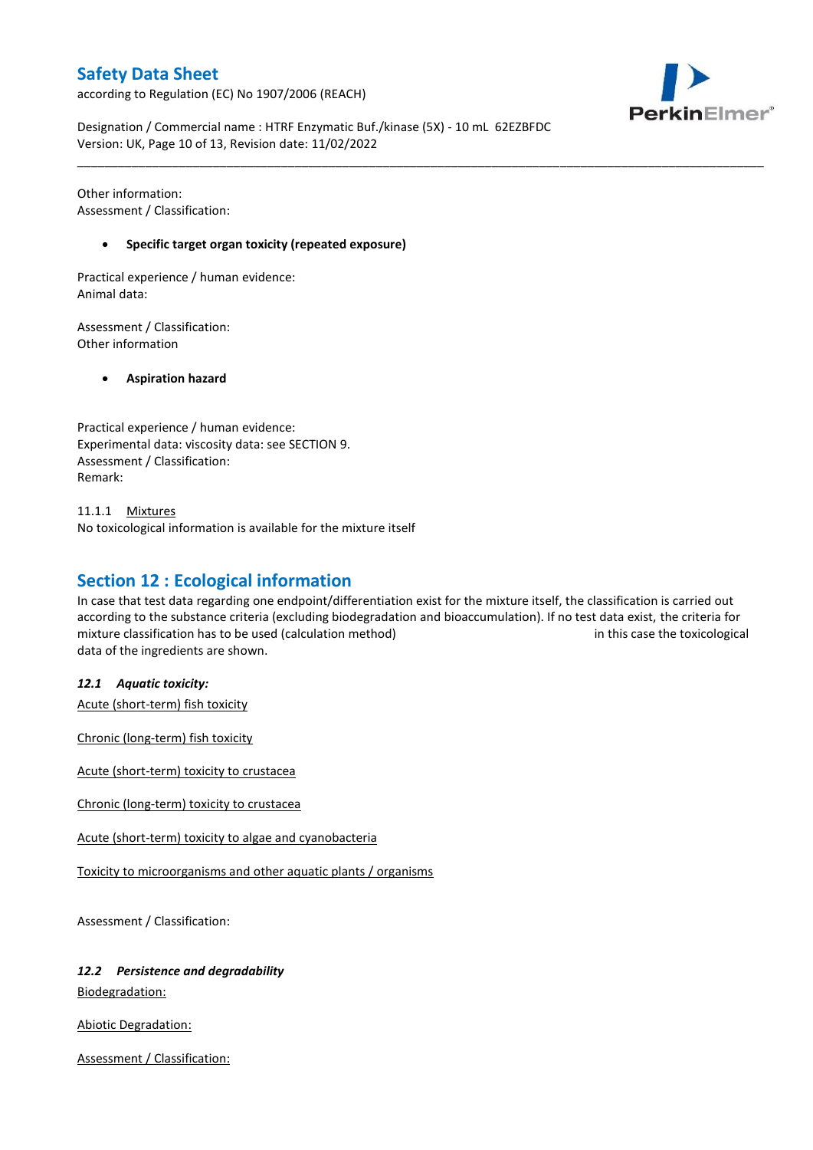according to Regulation (EC) No 1907/2006 (REACH)



Designation / Commercial name : HTRF Enzymatic Buf./kinase (5X) - 10 mL 62EZBFDC Version: UK, Page 10 of 13, Revision date: 11/02/2022

Other information: Assessment / Classification:

#### **Specific target organ toxicity (repeated exposure)**

Practical experience / human evidence: Animal data:

Assessment / Classification: Other information

**Aspiration hazard**

Practical experience / human evidence: Experimental data: viscosity data: see SECTION 9. Assessment / Classification: Remark:

11.1.1 Mixtures No toxicological information is available for the mixture itself

## **Section 12 : Ecological information**

In case that test data regarding one endpoint/differentiation exist for the mixture itself, the classification is carried out according to the substance criteria (excluding biodegradation and bioaccumulation). If no test data exist, the criteria for mixture classification has to be used (calculation method) in this case the toxicological data of the ingredients are shown.

\_\_\_\_\_\_\_\_\_\_\_\_\_\_\_\_\_\_\_\_\_\_\_\_\_\_\_\_\_\_\_\_\_\_\_\_\_\_\_\_\_\_\_\_\_\_\_\_\_\_\_\_\_\_\_\_\_\_\_\_\_\_\_\_\_\_\_\_\_\_\_\_\_\_\_\_\_\_\_\_\_\_\_\_\_\_\_\_\_\_\_\_\_\_\_\_\_\_\_\_\_

*12.1 Aquatic toxicity:* 

Acute (short-term) fish toxicity

Chronic (long-term) fish toxicity

Acute (short-term) toxicity to crustacea

Chronic (long-term) toxicity to crustacea

Acute (short-term) toxicity to algae and cyanobacteria

Toxicity to microorganisms and other aquatic plants / organisms

Assessment / Classification:

#### *12.2 Persistence and degradability*

Biodegradation:

Abiotic Degradation:

Assessment / Classification: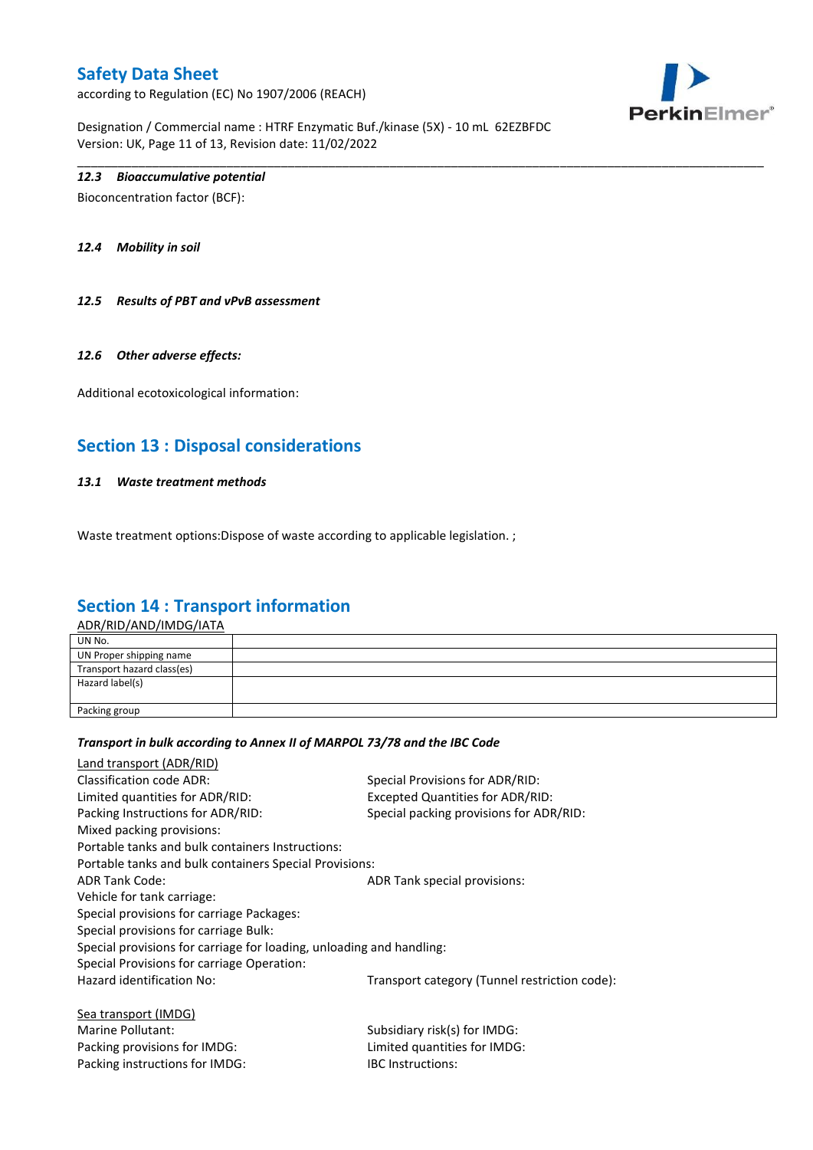according to Regulation (EC) No 1907/2006 (REACH)



Designation / Commercial name : HTRF Enzymatic Buf./kinase (5X) - 10 mL 62EZBFDC Version: UK, Page 11 of 13, Revision date: 11/02/2022

### *12.3 Bioaccumulative potential*

Bioconcentration factor (BCF):

*12.4 Mobility in soil*

*12.5 Results of PBT and vPvB assessment*

#### *12.6 Other adverse effects:*

Additional ecotoxicological information:

## **Section 13 : Disposal considerations**

#### *13.1 Waste treatment methods*

Waste treatment options: Dispose of waste according to applicable legislation.;

## **Section 14 : Transport information**

ADR/RID/AND/IMDG/IATA

| UN No.                     |  |
|----------------------------|--|
| UN Proper shipping name    |  |
| Transport hazard class(es) |  |
| Hazard label(s)            |  |
|                            |  |
| Packing group              |  |
|                            |  |

\_\_\_\_\_\_\_\_\_\_\_\_\_\_\_\_\_\_\_\_\_\_\_\_\_\_\_\_\_\_\_\_\_\_\_\_\_\_\_\_\_\_\_\_\_\_\_\_\_\_\_\_\_\_\_\_\_\_\_\_\_\_\_\_\_\_\_\_\_\_\_\_\_\_\_\_\_\_\_\_\_\_\_\_\_\_\_\_\_\_\_\_\_\_\_\_\_\_\_\_\_

#### *Transport in bulk according to Annex II of MARPOL 73/78 and the IBC Code*

Packing instructions for IMDG: IBC Instructions:

| Land transport (ADR/RID)                                             |                                               |
|----------------------------------------------------------------------|-----------------------------------------------|
| Classification code ADR:                                             | Special Provisions for ADR/RID:               |
| Limited quantities for ADR/RID:                                      | <b>Excepted Quantities for ADR/RID:</b>       |
| Packing Instructions for ADR/RID:                                    | Special packing provisions for ADR/RID:       |
| Mixed packing provisions:                                            |                                               |
| Portable tanks and bulk containers Instructions:                     |                                               |
| Portable tanks and bulk containers Special Provisions:               |                                               |
| ADR Tank Code:                                                       | ADR Tank special provisions:                  |
| Vehicle for tank carriage:                                           |                                               |
| Special provisions for carriage Packages:                            |                                               |
| Special provisions for carriage Bulk:                                |                                               |
| Special provisions for carriage for loading, unloading and handling: |                                               |
| Special Provisions for carriage Operation:                           |                                               |
| Hazard identification No:                                            | Transport category (Tunnel restriction code): |
| Sea transport (IMDG)                                                 |                                               |
| Marine Pollutant:                                                    | Subsidiary risk(s) for IMDG:                  |
| Packing provisions for IMDG:                                         | Limited quantities for IMDG:                  |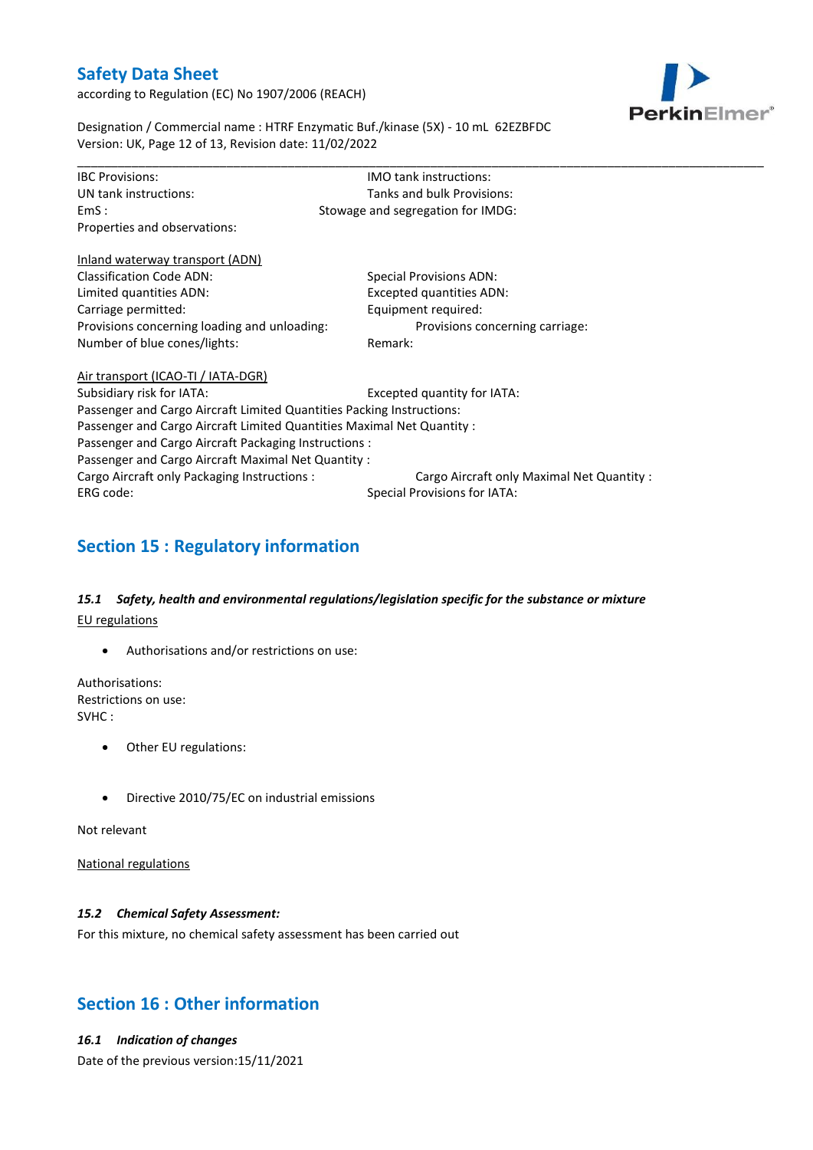according to Regulation (EC) No 1907/2006 (REACH)



Designation / Commercial name : HTRF Enzymatic Buf./kinase (5X) - 10 mL 62EZBFDC Version: UK, Page 12 of 13, Revision date: 11/02/2022

| <b>IBC Provisions:</b>                                                 | IMO tank instructions:                     |  |  |  |  |  |  |
|------------------------------------------------------------------------|--------------------------------------------|--|--|--|--|--|--|
| UN tank instructions:                                                  | Tanks and bulk Provisions:                 |  |  |  |  |  |  |
| EmS:                                                                   | Stowage and segregation for IMDG:          |  |  |  |  |  |  |
| Properties and observations:                                           |                                            |  |  |  |  |  |  |
| Inland waterway transport (ADN)                                        |                                            |  |  |  |  |  |  |
| <b>Classification Code ADN:</b>                                        | <b>Special Provisions ADN:</b>             |  |  |  |  |  |  |
| Limited quantities ADN:                                                | Excepted quantities ADN:                   |  |  |  |  |  |  |
| Carriage permitted:                                                    | Equipment required:                        |  |  |  |  |  |  |
| Provisions concerning loading and unloading:                           | Provisions concerning carriage:            |  |  |  |  |  |  |
| Number of blue cones/lights:                                           | Remark:                                    |  |  |  |  |  |  |
| Air transport (ICAO-TI / IATA-DGR)                                     |                                            |  |  |  |  |  |  |
| Subsidiary risk for IATA:                                              | Excepted quantity for IATA:                |  |  |  |  |  |  |
| Passenger and Cargo Aircraft Limited Quantities Packing Instructions:  |                                            |  |  |  |  |  |  |
| Passenger and Cargo Aircraft Limited Quantities Maximal Net Quantity : |                                            |  |  |  |  |  |  |
| Passenger and Cargo Aircraft Packaging Instructions :                  |                                            |  |  |  |  |  |  |
| Passenger and Cargo Aircraft Maximal Net Quantity :                    |                                            |  |  |  |  |  |  |
| Cargo Aircraft only Packaging Instructions :                           | Cargo Aircraft only Maximal Net Quantity : |  |  |  |  |  |  |
| ERG code:                                                              | Special Provisions for IATA:               |  |  |  |  |  |  |

# **Section 15 : Regulatory information**

## *15.1 Safety, health and environmental regulations/legislation specific for the substance or mixture* EU regulations

Authorisations and/or restrictions on use:

Authorisations: Restrictions on use: SVHC :

- Other EU regulations:
- Directive 2010/75/EC on industrial emissions

Not relevant

National regulations

### *15.2 Chemical Safety Assessment:*

For this mixture, no chemical safety assessment has been carried out

## **Section 16 : Other information**

## *16.1 Indication of changes*

Date of the previous version:15/11/2021